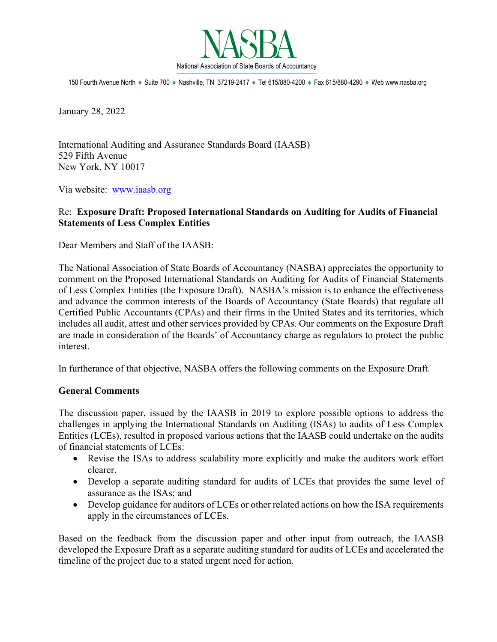

150 Fourth Avenue North ♦ Suite 700 ♦ Nashville, TN 37219-2417 ♦ Tel 615/880-4200 ♦ Fax 615/880-4290 ♦ Web www.nasba.org

January 28, 2022

International Auditing and Assurance Standards Board (IAASB) 529 Fifth Avenue New York, NY 10017

Via website: [www.iaasb.org](mailto:CommentLetters@aicpa-cima.com)

## Re: **Exposure Draft: Proposed International Standards on Auditing for Audits of Financial Statements of Less Complex Entities**

Dear Members and Staff of the IAASB:

The National Association of State Boards of Accountancy (NASBA) appreciates the opportunity to comment on the Proposed International Standards on Auditing for Audits of Financial Statements of Less Complex Entities (the Exposure Draft). NASBA's mission is to enhance the effectiveness and advance the common interests of the Boards of Accountancy (State Boards) that regulate all Certified Public Accountants (CPAs) and their firms in the United States and its territories, which includes all audit, attest and other services provided by CPAs. Our comments on the Exposure Draft are made in consideration of the Boards' of Accountancy charge as regulators to protect the public interest.

In furtherance of that objective, NASBA offers the following comments on the Exposure Draft.

## **General Comments**

The discussion paper, issued by the IAASB in 2019 to explore possible options to address the challenges in applying the International Standards on Auditing (ISAs) to audits of Less Complex Entities (LCEs), resulted in proposed various actions that the IAASB could undertake on the audits of financial statements of LCEs:

- Revise the ISAs to address scalability more explicitly and make the auditors work effort clearer.
- Develop a separate auditing standard for audits of LCEs that provides the same level of assurance as the ISAs; and
- Develop guidance for auditors of LCEs or other related actions on how the ISA requirements apply in the circumstances of LCEs.

Based on the feedback from the discussion paper and other input from outreach, the IAASB developed the Exposure Draft as a separate auditing standard for audits of LCEs and accelerated the timeline of the project due to a stated urgent need for action.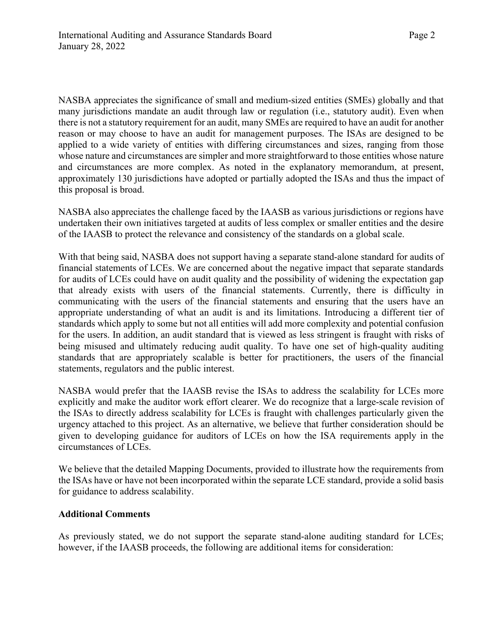NASBA appreciates the significance of small and medium-sized entities (SMEs) globally and that many jurisdictions mandate an audit through law or regulation (i.e., statutory audit). Even when there is not a statutory requirement for an audit, many SMEs are required to have an audit for another reason or may choose to have an audit for management purposes. The ISAs are designed to be applied to a wide variety of entities with differing circumstances and sizes, ranging from those whose nature and circumstances are simpler and more straightforward to those entities whose nature and circumstances are more complex. As noted in the explanatory memorandum, at present, approximately 130 jurisdictions have adopted or partially adopted the ISAs and thus the impact of this proposal is broad.

NASBA also appreciates the challenge faced by the IAASB as various jurisdictions or regions have undertaken their own initiatives targeted at audits of less complex or smaller entities and the desire of the IAASB to protect the relevance and consistency of the standards on a global scale.

With that being said, NASBA does not support having a separate stand-alone standard for audits of financial statements of LCEs. We are concerned about the negative impact that separate standards for audits of LCEs could have on audit quality and the possibility of widening the expectation gap that already exists with users of the financial statements. Currently, there is difficulty in communicating with the users of the financial statements and ensuring that the users have an appropriate understanding of what an audit is and its limitations. Introducing a different tier of standards which apply to some but not all entities will add more complexity and potential confusion for the users. In addition, an audit standard that is viewed as less stringent is fraught with risks of being misused and ultimately reducing audit quality. To have one set of high-quality auditing standards that are appropriately scalable is better for practitioners, the users of the financial statements, regulators and the public interest.

NASBA would prefer that the IAASB revise the ISAs to address the scalability for LCEs more explicitly and make the auditor work effort clearer. We do recognize that a large-scale revision of the ISAs to directly address scalability for LCEs is fraught with challenges particularly given the urgency attached to this project. As an alternative, we believe that further consideration should be given to developing guidance for auditors of LCEs on how the ISA requirements apply in the circumstances of LCEs.

We believe that the detailed Mapping Documents, provided to illustrate how the requirements from the ISAs have or have not been incorporated within the separate LCE standard, provide a solid basis for guidance to address scalability.

## **Additional Comments**

As previously stated, we do not support the separate stand-alone auditing standard for LCEs; however, if the IAASB proceeds, the following are additional items for consideration: